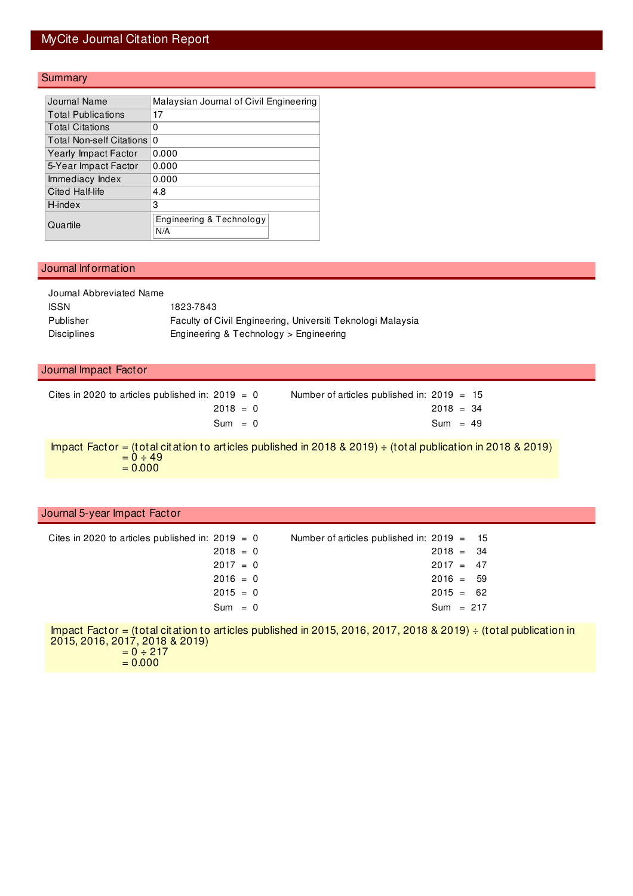# MyCite Journal Citation Report

#### **Summary**

| Journal Name              | Malaysian Journal of Civil Engineering |  |  |  |  |  |
|---------------------------|----------------------------------------|--|--|--|--|--|
| <b>Total Publications</b> | 17                                     |  |  |  |  |  |
| <b>Total Citations</b>    | 0                                      |  |  |  |  |  |
| Total Non-self Citations  | $\Omega$                               |  |  |  |  |  |
| Yearly Impact Factor      | 0.000                                  |  |  |  |  |  |
| 5-Year Impact Factor      | 0.000                                  |  |  |  |  |  |
| Immediacy Index           | 0.000                                  |  |  |  |  |  |
| Cited Half-life           | 4.8                                    |  |  |  |  |  |
| H-index                   | 3                                      |  |  |  |  |  |
| Quartile                  | Engineering & Technology<br>N/A        |  |  |  |  |  |

#### Journal Information

| Journal Abbreviated Name |                                                             |
|--------------------------|-------------------------------------------------------------|
| <b>ISSN</b>              | 1823-7843                                                   |
| Publisher                | Faculty of Civil Engineering, Universiti Teknologi Malaysia |
| <b>Disciplines</b>       | Engineering & Technology > Engineering                      |
|                          |                                                             |

#### Journal Impact Factor

| Cites in 2020 to articles published in: $2019 = 0$ | Number of articles published in: $2019 = 15$ |
|----------------------------------------------------|----------------------------------------------|
| $2018 = 0$                                         | $2018 = 34$                                  |
| $Sum = 0$                                          | $Sum = 49$                                   |

Impact Factor = (total citation to articles published in 2018 & 2019) ÷ (total publication in 2018 & 2019)  $= 0 \div 49$  $= 0.000$ 

### Journal 5-year Impact Factor

| $2018 = 0$ |                                                    |  |                                                                                                                         |
|------------|----------------------------------------------------|--|-------------------------------------------------------------------------------------------------------------------------|
| $2017 = 0$ |                                                    |  |                                                                                                                         |
| $2016 = 0$ |                                                    |  |                                                                                                                         |
| $2015 = 0$ |                                                    |  |                                                                                                                         |
| $Sum = 0$  |                                                    |  |                                                                                                                         |
|            | Cites in 2020 to articles published in: 2019 $= 0$ |  | Number of articles published in: $2019 = 15$<br>$2018 = 34$<br>$2017 = 47$<br>$2016 = 59$<br>$2015 = 62$<br>$Sum = 217$ |

Impact Factor = (total citation to articles published in 2015, 2016, 2017, 2018 & 2019) ÷ (total publication in 2015, 2016, 2017, 2018 & 2019)  $= 0 \div 217$ 

 $= 0.000$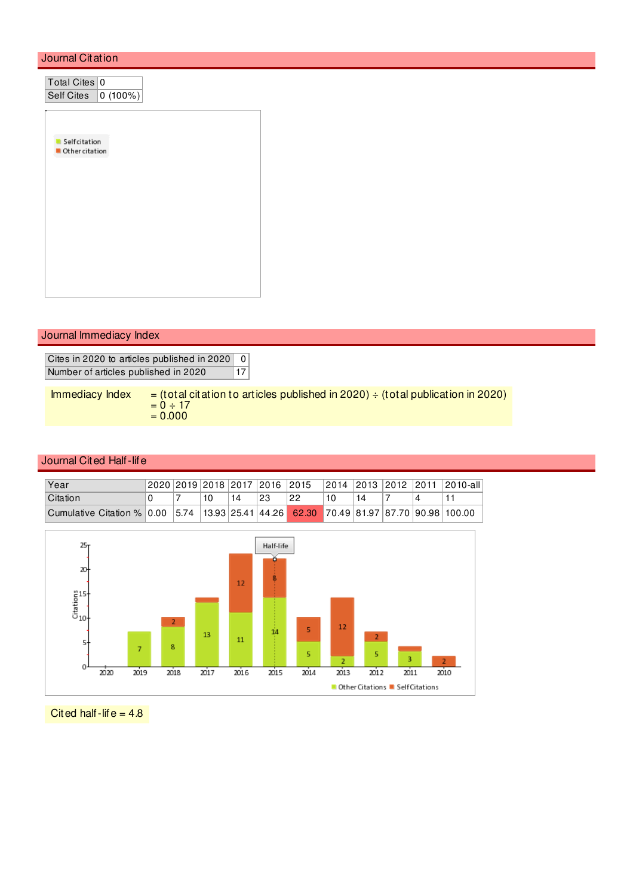## Journal Citation

| Total Cites 0<br>Self Cites<br>$\boxed{0(100\%)}$ |  |
|---------------------------------------------------|--|
| Selfcitation<br>Other citation                    |  |
|                                                   |  |
|                                                   |  |
| Journal Immediacy Index                           |  |
|                                                   |  |

Cites in 2020 to articles published in 2020 0 Number of articles published in 2020 17

Immediacy Index  $=$  (total citation to articles published in 2020)  $\div$  (total publication in 2020)  $= 0 \div 17$  $= 0.000$ 

### Journal Cited Half-life

| Year                                                                                   |  |    |    |    |    |    |  | 2020 2019 2018 2017 2016 2015  2014 2013  2012  2011  2010-all |
|----------------------------------------------------------------------------------------|--|----|----|----|----|----|--|----------------------------------------------------------------|
| <b>Citation</b>                                                                        |  | 10 | 14 | 23 | 22 | 14 |  |                                                                |
| Cumulative Citation % 0.00 5.74 13.93 25.41 44.26 62.30 70.49 81.97 87.70 90.98 100.00 |  |    |    |    |    |    |  |                                                                |



Cited half-life =  $4.8$